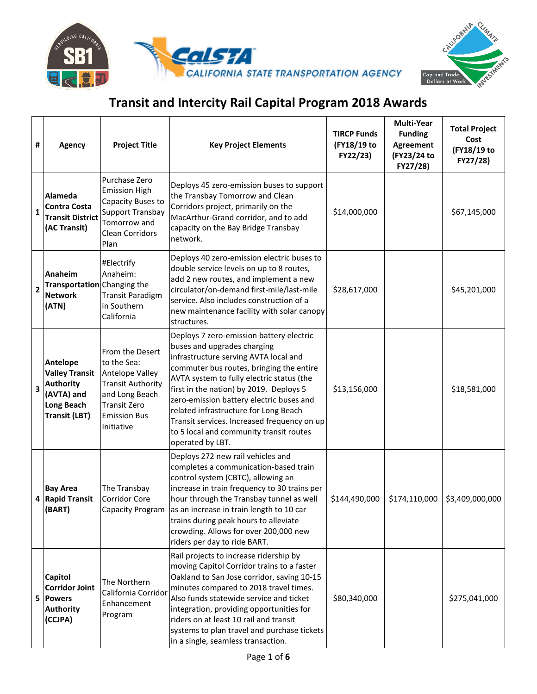



| #            | <b>Agency</b>                                                                                                    | <b>Project Title</b>                                                                                                                                        | <b>Key Project Elements</b>                                                                                                                                                                                                                                                                                                                                                                                                                             | <b>TIRCP Funds</b><br>(FY18/19 to<br>FY22/23) | <b>Multi-Year</b><br><b>Funding</b><br>Agreement<br>(FY23/24 to<br>FY27/28) | <b>Total Project</b><br>Cost<br>(FY18/19 to<br>FY27/28) |
|--------------|------------------------------------------------------------------------------------------------------------------|-------------------------------------------------------------------------------------------------------------------------------------------------------------|---------------------------------------------------------------------------------------------------------------------------------------------------------------------------------------------------------------------------------------------------------------------------------------------------------------------------------------------------------------------------------------------------------------------------------------------------------|-----------------------------------------------|-----------------------------------------------------------------------------|---------------------------------------------------------|
| $\mathbf{1}$ | <b>Alameda</b><br><b>Contra Costa</b><br><b>Transit District</b><br>(AC Transit)                                 | Purchase Zero<br><b>Emission High</b><br>Capacity Buses to<br><b>Support Transbay</b><br>Tomorrow and<br><b>Clean Corridors</b><br>Plan                     | Deploys 45 zero-emission buses to support<br>the Transbay Tomorrow and Clean<br>Corridors project, primarily on the<br>MacArthur-Grand corridor, and to add<br>capacity on the Bay Bridge Transbay<br>network.                                                                                                                                                                                                                                          | \$14,000,000                                  |                                                                             | \$67,145,000                                            |
| $\mathbf{2}$ | <b>Anaheim</b><br>Transportation Changing the<br><b>Network</b><br>(ATN)                                         | #Electrify<br>Anaheim:<br><b>Transit Paradigm</b><br>in Southern<br>California                                                                              | Deploys 40 zero-emission electric buses to<br>double service levels on up to 8 routes,<br>add 2 new routes, and implement a new<br>circulator/on-demand first-mile/last-mile<br>service. Also includes construction of a<br>new maintenance facility with solar canopy<br>structures.                                                                                                                                                                   | \$28,617,000                                  |                                                                             | \$45,201,000                                            |
| 3            | Antelope<br><b>Valley Transit</b><br><b>Authority</b><br>(AVTA) and<br><b>Long Beach</b><br><b>Transit (LBT)</b> | From the Desert<br>to the Sea:<br>Antelope Valley<br><b>Transit Authority</b><br>and Long Beach<br><b>Transit Zero</b><br><b>Emission Bus</b><br>Initiative | Deploys 7 zero-emission battery electric<br>buses and upgrades charging<br>infrastructure serving AVTA local and<br>commuter bus routes, bringing the entire<br>AVTA system to fully electric status (the<br>first in the nation) by 2019. Deploys 5<br>zero-emission battery electric buses and<br>related infrastructure for Long Beach<br>Transit services. Increased frequency on up<br>to 5 local and community transit routes<br>operated by LBT. | \$13,156,000                                  |                                                                             | \$18,581,000                                            |
|              | <b>Bay Area</b><br>4 Rapid Transit<br>(BART)                                                                     | The Transbay<br><b>Corridor Core</b><br>Capacity Program                                                                                                    | Deploys 272 new rail vehicles and<br>completes a communication-based train<br>control system (CBTC), allowing an<br>increase in train frequency to 30 trains per<br>hour through the Transbay tunnel as well<br>as an increase in train length to 10 car<br>trains during peak hours to alleviate<br>crowding. Allows for over 200,000 new<br>riders per day to ride BART.                                                                              | \$144,490,000                                 | \$174,110,000                                                               | \$3,409,000,000                                         |
|              | <b>Capitol</b><br><b>Corridor Joint</b><br>5 Powers<br><b>Authority</b><br>(CCJPA)                               | The Northern<br>California Corridor<br>Enhancement<br>Program                                                                                               | Rail projects to increase ridership by<br>moving Capitol Corridor trains to a faster<br>Oakland to San Jose corridor, saving 10-15<br>minutes compared to 2018 travel times.<br>Also funds statewide service and ticket<br>integration, providing opportunities for<br>riders on at least 10 rail and transit<br>systems to plan travel and purchase tickets<br>in a single, seamless transaction.                                                      | \$80,340,000                                  |                                                                             | \$275,041,000                                           |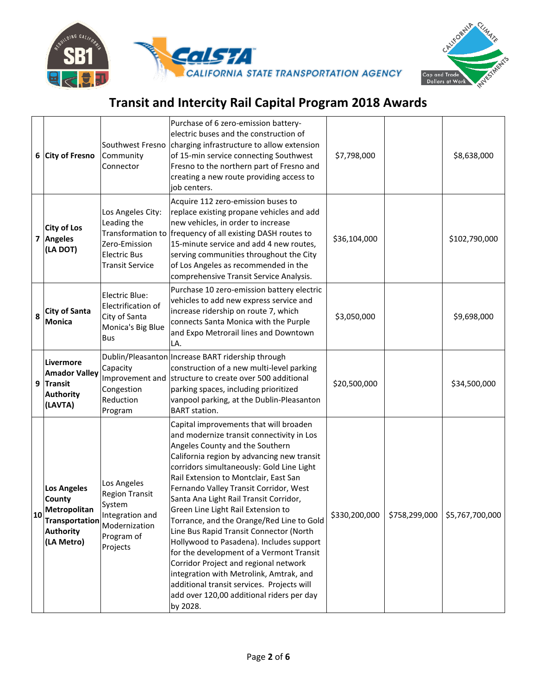

CALIFORN

|    | 6 City of Fresno                                                                                                      | Southwest Fresno<br>Community<br>Connector                                                                   | Purchase of 6 zero-emission battery-<br>electric buses and the construction of<br>charging infrastructure to allow extension<br>of 15-min service connecting Southwest<br>Fresno to the northern part of Fresno and<br>creating a new route providing access to<br>job centers.                                                                                                                                                                                                                                                                                                                                                                                                                                                                                 | \$7,798,000   |               | \$8,638,000     |
|----|-----------------------------------------------------------------------------------------------------------------------|--------------------------------------------------------------------------------------------------------------|-----------------------------------------------------------------------------------------------------------------------------------------------------------------------------------------------------------------------------------------------------------------------------------------------------------------------------------------------------------------------------------------------------------------------------------------------------------------------------------------------------------------------------------------------------------------------------------------------------------------------------------------------------------------------------------------------------------------------------------------------------------------|---------------|---------------|-----------------|
|    | <b>City of Los</b><br>7 Angeles<br>(LA DOT)                                                                           | Los Angeles City:<br>Leading the<br>Zero-Emission<br><b>Electric Bus</b><br><b>Transit Service</b>           | Acquire 112 zero-emission buses to<br>replace existing propane vehicles and add<br>new vehicles, in order to increase<br>Transformation to frequency of all existing DASH routes to<br>15-minute service and add 4 new routes,<br>serving communities throughout the City<br>of Los Angeles as recommended in the<br>comprehensive Transit Service Analysis.                                                                                                                                                                                                                                                                                                                                                                                                    | \$36,104,000  |               | \$102,790,000   |
| 8  | <b>City of Santa</b><br><b>Monica</b>                                                                                 | Electric Blue:<br>Electrification of<br>City of Santa<br>Monica's Big Blue<br><b>Bus</b>                     | Purchase 10 zero-emission battery electric<br>vehicles to add new express service and<br>increase ridership on route 7, which<br>connects Santa Monica with the Purple<br>and Expo Metrorail lines and Downtown<br>LA.                                                                                                                                                                                                                                                                                                                                                                                                                                                                                                                                          | \$3,050,000   |               | \$9,698,000     |
| 9  | Livermore<br><b>Amador Valley</b><br>Transit<br><b>Authority</b><br>(LAVTA)                                           | Capacity<br>Improvement and<br>Congestion<br>Reduction<br>Program                                            | Dublin/Pleasanton Increase BART ridership through<br>construction of a new multi-level parking<br>structure to create over 500 additional<br>parking spaces, including prioritized<br>vanpool parking, at the Dublin-Pleasanton<br><b>BART</b> station.                                                                                                                                                                                                                                                                                                                                                                                                                                                                                                         | \$20,500,000  |               | \$34,500,000    |
| 10 | <b>Los Angeles</b><br><b>County</b><br><b>Metropolitan</b><br><b>Transportation</b><br><b>Authority</b><br>(LA Metro) | Los Angeles<br><b>Region Transit</b><br>System<br>Integration and<br>Modernization<br>Program of<br>Projects | Capital improvements that will broaden<br>and modernize transit connectivity in Los<br>Angeles County and the Southern<br>California region by advancing new transit<br>corridors simultaneously: Gold Line Light<br>Rail Extension to Montclair, East San<br>Fernando Valley Transit Corridor, West<br>Santa Ana Light Rail Transit Corridor,<br>Green Line Light Rail Extension to<br>Torrance, and the Orange/Red Line to Gold<br>Line Bus Rapid Transit Connector (North<br>Hollywood to Pasadena). Includes support<br>for the development of a Vermont Transit<br>Corridor Project and regional network<br>integration with Metrolink, Amtrak, and<br>additional transit services. Projects will<br>add over 120,00 additional riders per day<br>by 2028. | \$330,200,000 | \$758,299,000 | \$5,767,700,000 |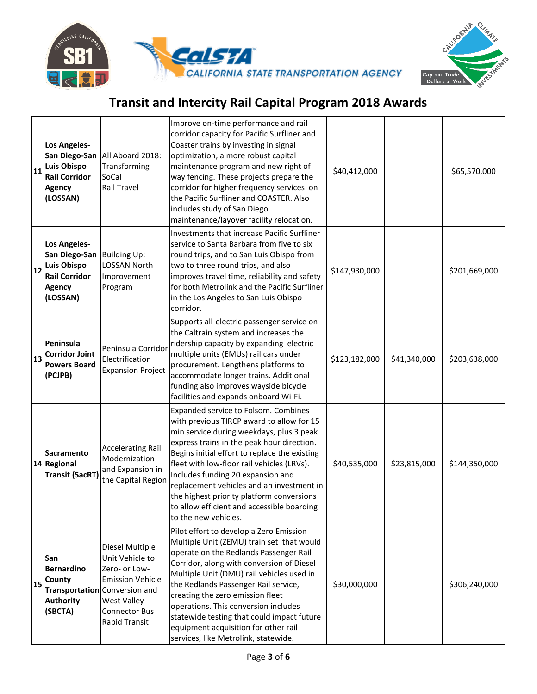



| 11 | Los Angeles-<br>Luis Obispo<br><b>Rail Corridor</b><br><b>Agency</b><br>(LOSSAN)                                      | San Diego-San   All Aboard 2018:<br>Transforming<br>SoCal<br><b>Rail Travel</b>                                                                                                | Improve on-time performance and rail<br>corridor capacity for Pacific Surfliner and<br>Coaster trains by investing in signal<br>optimization, a more robust capital<br>maintenance program and new right of<br>way fencing. These projects prepare the<br>corridor for higher frequency services on<br>the Pacific Surfliner and COASTER. Also<br>includes study of San Diego<br>maintenance/layover facility relocation.                                                       | \$40,412,000  |              | \$65,570,000  |
|----|-----------------------------------------------------------------------------------------------------------------------|--------------------------------------------------------------------------------------------------------------------------------------------------------------------------------|---------------------------------------------------------------------------------------------------------------------------------------------------------------------------------------------------------------------------------------------------------------------------------------------------------------------------------------------------------------------------------------------------------------------------------------------------------------------------------|---------------|--------------|---------------|
| 12 | Los Angeles-<br>San Diego-San Building Up:<br><b>Luis Obispo</b><br><b>Rail Corridor</b><br><b>Agency</b><br>(LOSSAN) | LOSSAN North<br>Improvement<br>Program                                                                                                                                         | Investments that increase Pacific Surfliner<br>service to Santa Barbara from five to six<br>round trips, and to San Luis Obispo from<br>two to three round trips, and also<br>improves travel time, reliability and safety<br>for both Metrolink and the Pacific Surfliner<br>in the Los Angeles to San Luis Obispo<br>corridor.                                                                                                                                                | \$147,930,000 |              | \$201,669,000 |
| 13 | Peninsula<br>Corridor Joint<br><b>Powers Board</b><br>(PCJPB)                                                         | Peninsula Corridor<br>Electrification<br><b>Expansion Project</b>                                                                                                              | Supports all-electric passenger service on<br>the Caltrain system and increases the<br>ridership capacity by expanding electric<br>multiple units (EMUs) rail cars under<br>procurement. Lengthens platforms to<br>accommodate longer trains. Additional<br>funding also improves wayside bicycle<br>facilities and expands onboard Wi-Fi.                                                                                                                                      | \$123,182,000 | \$41,340,000 | \$203,638,000 |
|    | <b>Sacramento</b><br>14 Regional<br><b>Transit (SacRT)</b>                                                            | <b>Accelerating Rail</b><br>Modernization<br>and Expansion in<br>the Capital Region                                                                                            | Expanded service to Folsom. Combines<br>with previous TIRCP award to allow for 15<br>min service during weekdays, plus 3 peak<br>express trains in the peak hour direction.<br>Begins initial effort to replace the existing<br>fleet with low-floor rail vehicles (LRVs).<br>Includes funding 20 expansion and<br>replacement vehicles and an investment in<br>the highest priority platform conversions<br>to allow efficient and accessible boarding<br>to the new vehicles. | \$40,535,000  | \$23,815,000 | \$144,350,000 |
| 15 | San<br>Bernardino<br><b>County</b><br><b>Authority</b><br>(SBCTA)                                                     | Diesel Multiple<br>Unit Vehicle to<br>Zero- or Low-<br><b>Emission Vehicle</b><br>Transportation Conversion and<br><b>West Valley</b><br>Connector Bus<br><b>Rapid Transit</b> | Pilot effort to develop a Zero Emission<br>Multiple Unit (ZEMU) train set that would<br>operate on the Redlands Passenger Rail<br>Corridor, along with conversion of Diesel<br>Multiple Unit (DMU) rail vehicles used in<br>the Redlands Passenger Rail service,<br>creating the zero emission fleet<br>operations. This conversion includes<br>statewide testing that could impact future<br>equipment acquisition for other rail<br>services, like Metrolink, statewide.      | \$30,000,000  |              | \$306,240,000 |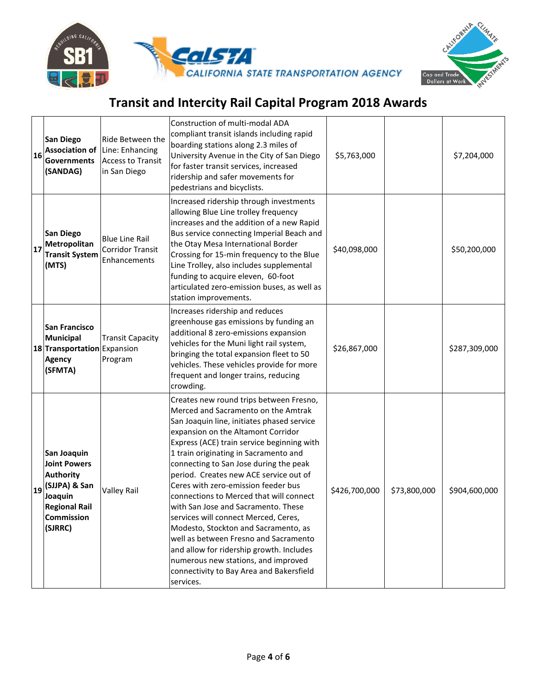



| 16 | <b>San Diego</b><br><b>Association of</b><br><b>Governments</b><br>(SANDAG)                                                                | Ride Between the<br>Line: Enhancing<br><b>Access to Transit</b><br>in San Diego | Construction of multi-modal ADA<br>compliant transit islands including rapid<br>boarding stations along 2.3 miles of<br>University Avenue in the City of San Diego<br>for faster transit services, increased<br>ridership and safer movements for<br>pedestrians and bicyclists.                                                                                                                                                                                                                                                                                                                                                                                                                                                            | \$5,763,000   |              | \$7,204,000   |
|----|--------------------------------------------------------------------------------------------------------------------------------------------|---------------------------------------------------------------------------------|---------------------------------------------------------------------------------------------------------------------------------------------------------------------------------------------------------------------------------------------------------------------------------------------------------------------------------------------------------------------------------------------------------------------------------------------------------------------------------------------------------------------------------------------------------------------------------------------------------------------------------------------------------------------------------------------------------------------------------------------|---------------|--------------|---------------|
| 17 | <b>San Diego</b><br>Metropolitan<br><b>Transit System</b><br>(MTS)                                                                         | <b>Blue Line Rail</b><br>Corridor Transit<br>Enhancements                       | Increased ridership through investments<br>allowing Blue Line trolley frequency<br>increases and the addition of a new Rapid<br>Bus service connecting Imperial Beach and<br>the Otay Mesa International Border<br>Crossing for 15-min frequency to the Blue<br>Line Trolley, also includes supplemental<br>funding to acquire eleven, 60-foot<br>articulated zero-emission buses, as well as<br>station improvements.                                                                                                                                                                                                                                                                                                                      | \$40,098,000  |              | \$50,200,000  |
|    | <b>San Francisco</b><br><b>Municipal</b><br>18 Transportation Expansion<br><b>Agency</b><br>(SFMTA)                                        | <b>Transit Capacity</b><br>Program                                              | Increases ridership and reduces<br>greenhouse gas emissions by funding an<br>additional 8 zero-emissions expansion<br>vehicles for the Muni light rail system,<br>bringing the total expansion fleet to 50<br>vehicles. These vehicles provide for more<br>frequent and longer trains, reducing<br>crowding.                                                                                                                                                                                                                                                                                                                                                                                                                                | \$26,867,000  |              | \$287,309,000 |
| 19 | San Joaquin<br><b>Joint Powers</b><br><b>Authority</b><br>(SJJPA) & San<br>Joaquin<br><b>Regional Rail</b><br><b>Commission</b><br>(SJRRC) | <b>Valley Rail</b>                                                              | Creates new round trips between Fresno,<br>Merced and Sacramento on the Amtrak<br>San Joaquin line, initiates phased service<br>expansion on the Altamont Corridor<br>Express (ACE) train service beginning with<br>1 train originating in Sacramento and<br>connecting to San Jose during the peak<br>period. Creates new ACE service out of<br>Ceres with zero-emission feeder bus<br>connections to Merced that will connect<br>with San Jose and Sacramento. These<br>services will connect Merced, Ceres,<br>Modesto, Stockton and Sacramento, as<br>well as between Fresno and Sacramento<br>and allow for ridership growth. Includes<br>numerous new stations, and improved<br>connectivity to Bay Area and Bakersfield<br>services. | \$426,700,000 | \$73,800,000 | \$904,600,000 |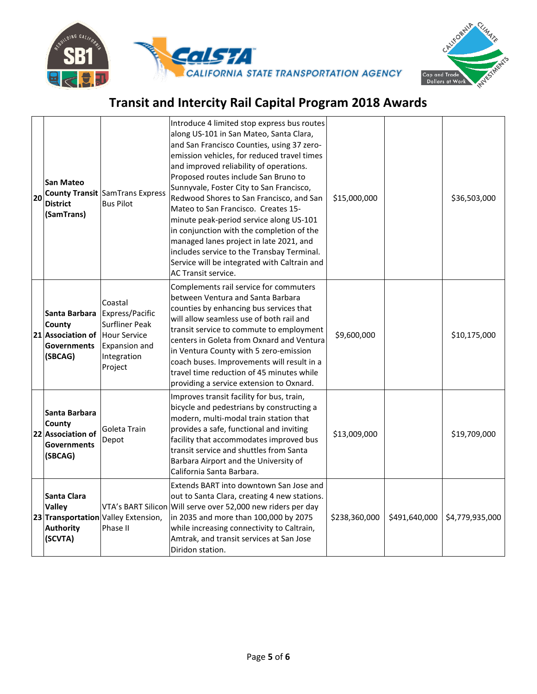



| 20 | <b>San Mateo</b><br><b>District</b><br>(SamTrans)                                          | <b>County Transit SamTrans Express</b><br><b>Bus Pilot</b>                                     | Introduce 4 limited stop express bus routes<br>along US-101 in San Mateo, Santa Clara,<br>and San Francisco Counties, using 37 zero-<br>emission vehicles, for reduced travel times<br>and improved reliability of operations.<br>Proposed routes include San Bruno to<br>Sunnyvale, Foster City to San Francisco,<br>Redwood Shores to San Francisco, and San<br>Mateo to San Francisco. Creates 15-<br>minute peak-period service along US-101<br>in conjunction with the completion of the<br>managed lanes project in late 2021, and<br>includes service to the Transbay Terminal.<br>Service will be integrated with Caltrain and<br><b>AC Transit service.</b> | \$15,000,000  |               | \$36,503,000    |
|----|--------------------------------------------------------------------------------------------|------------------------------------------------------------------------------------------------|----------------------------------------------------------------------------------------------------------------------------------------------------------------------------------------------------------------------------------------------------------------------------------------------------------------------------------------------------------------------------------------------------------------------------------------------------------------------------------------------------------------------------------------------------------------------------------------------------------------------------------------------------------------------|---------------|---------------|-----------------|
|    | Santa Barbara<br>County<br>21 Association of Hour Service<br><b>Governments</b><br>(SBCAG) | Coastal<br>Express/Pacific<br><b>Surfliner Peak</b><br>Expansion and<br>Integration<br>Project | Complements rail service for commuters<br>between Ventura and Santa Barbara<br>counties by enhancing bus services that<br>will allow seamless use of both rail and<br>transit service to commute to employment<br>centers in Goleta from Oxnard and Ventura<br>in Ventura County with 5 zero-emission<br>coach buses. Improvements will result in a<br>travel time reduction of 45 minutes while<br>providing a service extension to Oxnard.                                                                                                                                                                                                                         | \$9,600,000   |               | \$10,175,000    |
|    | Santa Barbara<br>County<br>22 Association of<br><b>Governments</b><br>(SBCAG)              | Goleta Train<br>Depot                                                                          | Improves transit facility for bus, train,<br>bicycle and pedestrians by constructing a<br>modern, multi-modal train station that<br>provides a safe, functional and inviting<br>facility that accommodates improved bus<br>transit service and shuttles from Santa<br>Barbara Airport and the University of<br>California Santa Barbara.                                                                                                                                                                                                                                                                                                                             | \$13,009,000  |               | \$19,709,000    |
|    | Santa Clara<br><b>Valley</b><br><b>Authority</b><br>(SCVTA)                                | 23 Transportation Valley Extension,<br>Phase II                                                | Extends BART into downtown San Jose and<br>out to Santa Clara, creating 4 new stations.<br>VTA's BART Silicon Will serve over 52,000 new riders per day<br>in 2035 and more than 100,000 by 2075<br>while increasing connectivity to Caltrain,<br>Amtrak, and transit services at San Jose<br>Diridon station.                                                                                                                                                                                                                                                                                                                                                       | \$238,360,000 | \$491,640,000 | \$4,779,935,000 |